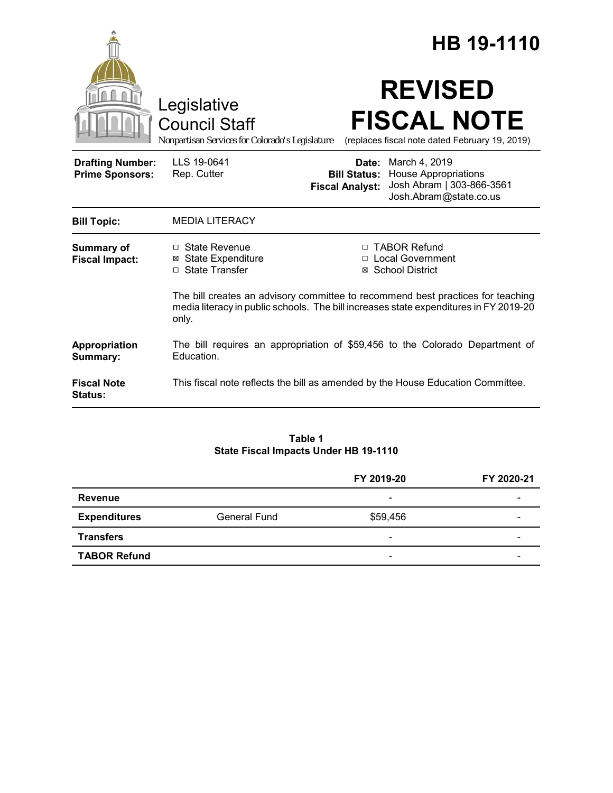|                                                   |                                                                                                                                                                                   |                                                                          | HB 19-1110                                                                                                                    |  |  |
|---------------------------------------------------|-----------------------------------------------------------------------------------------------------------------------------------------------------------------------------------|--------------------------------------------------------------------------|-------------------------------------------------------------------------------------------------------------------------------|--|--|
|                                                   | Legislative<br><b>Council Staff</b><br>Nonpartisan Services for Colorado's Legislature                                                                                            |                                                                          | <b>REVISED</b><br><b>FISCAL NOTE</b><br>(replaces fiscal note dated February 19, 2019)                                        |  |  |
| <b>Drafting Number:</b><br><b>Prime Sponsors:</b> | LLS 19-0641<br>Rep. Cutter                                                                                                                                                        | <b>Fiscal Analyst:</b>                                                   | <b>Date:</b> March 4, 2019<br><b>Bill Status:</b> House Appropriations<br>Josh Abram   303-866-3561<br>Josh.Abram@state.co.us |  |  |
| <b>Bill Topic:</b>                                | <b>MEDIA LITERACY</b>                                                                                                                                                             |                                                                          |                                                                                                                               |  |  |
| <b>Summary of</b><br><b>Fiscal Impact:</b>        | $\Box$ State Revenue<br><b>⊠</b> State Expenditure<br>□ State Transfer                                                                                                            | □ TABOR Refund<br><b>Local Government</b><br><b>School District</b><br>Ø |                                                                                                                               |  |  |
|                                                   | The bill creates an advisory committee to recommend best practices for teaching<br>media literacy in public schools. The bill increases state expenditures in FY 2019-20<br>only. |                                                                          |                                                                                                                               |  |  |
| Appropriation<br>Summary:                         | The bill requires an appropriation of \$59,456 to the Colorado Department of<br>Education.                                                                                        |                                                                          |                                                                                                                               |  |  |
| <b>Fiscal Note</b><br><b>Status:</b>              | This fiscal note reflects the bill as amended by the House Education Committee.                                                                                                   |                                                                          |                                                                                                                               |  |  |

#### **Table 1 State Fiscal Impacts Under HB 19-1110**

|                     |              | FY 2019-20               | FY 2020-21 |
|---------------------|--------------|--------------------------|------------|
| <b>Revenue</b>      |              | $\overline{\phantom{a}}$ |            |
| <b>Expenditures</b> | General Fund | \$59,456                 |            |
| <b>Transfers</b>    |              | $\overline{\phantom{a}}$ | -          |
| <b>TABOR Refund</b> |              | -                        | -          |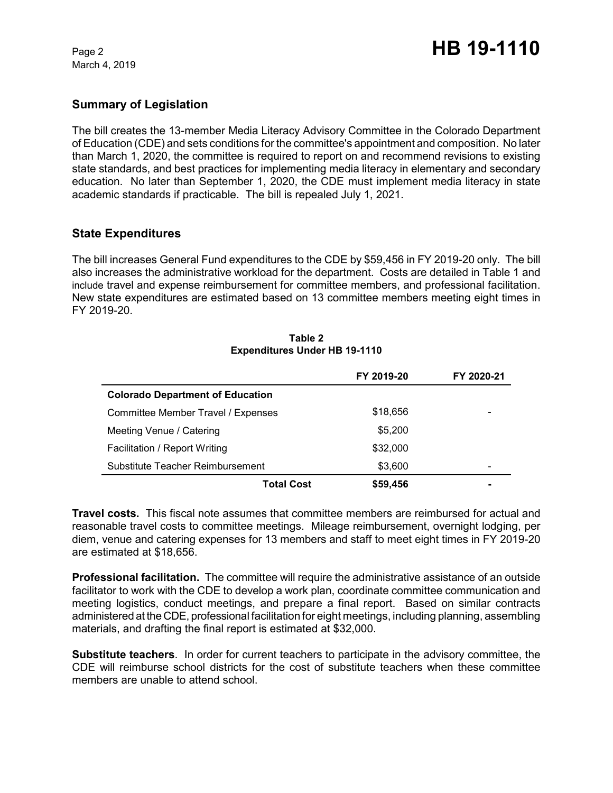March 4, 2019

# **Summary of Legislation**

The bill creates the 13-member Media Literacy Advisory Committee in the Colorado Department of Education (CDE) and sets conditions for the committee's appointment and composition. No later than March 1, 2020, the committee is required to report on and recommend revisions to existing state standards, and best practices for implementing media literacy in elementary and secondary education. No later than September 1, 2020, the CDE must implement media literacy in state academic standards if practicable. The bill is repealed July 1, 2021.

# **State Expenditures**

The bill increases General Fund expenditures to the CDE by \$59,456 in FY 2019-20 only. The bill also increases the administrative workload for the department. Costs are detailed in Table 1 and include travel and expense reimbursement for committee members, and professional facilitation. New state expenditures are estimated based on 13 committee members meeting eight times in FY 2019-20.

#### **Table 2 Expenditures Under HB 19-1110**

|                                         | FY 2019-20 | FY 2020-21 |
|-----------------------------------------|------------|------------|
| <b>Colorado Department of Education</b> |            |            |
| Committee Member Travel / Expenses      | \$18,656   |            |
| Meeting Venue / Catering                | \$5,200    |            |
| Facilitation / Report Writing           | \$32,000   |            |
| Substitute Teacher Reimbursement        | \$3,600    |            |
| <b>Total Cost</b>                       | \$59,456   |            |

**Travel costs.** This fiscal note assumes that committee members are reimbursed for actual and reasonable travel costs to committee meetings. Mileage reimbursement, overnight lodging, per diem, venue and catering expenses for 13 members and staff to meet eight times in FY 2019-20 are estimated at \$18,656.

**Professional facilitation.** The committee will require the administrative assistance of an outside facilitator to work with the CDE to develop a work plan, coordinate committee communication and meeting logistics, conduct meetings, and prepare a final report. Based on similar contracts administered at the CDE, professional facilitation for eight meetings, including planning, assembling materials, and drafting the final report is estimated at \$32,000.

**Substitute teachers**. In order for current teachers to participate in the advisory committee, the CDE will reimburse school districts for the cost of substitute teachers when these committee members are unable to attend school.